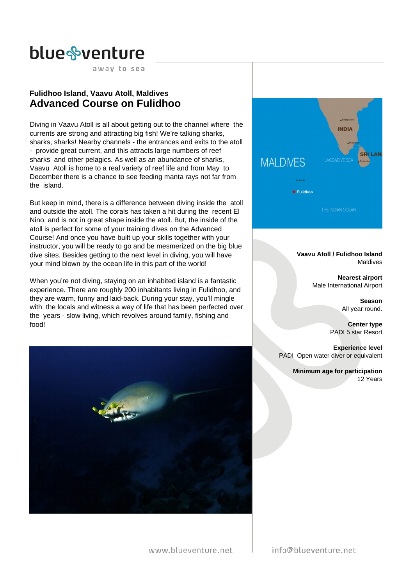away to sea

# **Fulidhoo Island, Vaavu Atoll, Maldives Advanced Course on Fulidhoo**

Diving in Vaavu Atoll is all about getting out to the channel where the currents are strong and attracting big fish! We're talking sharks, sharks, sharks! Nearby channels - the entrances and exits to the atoll - provide great current, and this attracts large numbers of reef sharks and other pelagics. As well as an abundance of sharks, Vaavu Atoll is home to a real variety of reef life and from May to December there is a chance to see feeding manta rays not far from the island.

But keep in mind, there is a difference between diving inside the atoll and outside the atoll. The corals has taken a hit during the recent El Nino, and is not in great shape inside the atoll. But, the inside of the atoll is perfect for some of your training dives on the Advanced Course! And once you have built up your skills together with your instructor, you will be ready to go and be mesmerized on the big blue dive sites. Besides getting to the next level in diving, you will have your mind blown by the ocean life in this part of the world!

When you're not diving, staying on an inhabited island is a fantastic experience. There are roughly 200 inhabitants living in Fulidhoo, and they are warm, funny and laid-back. During your stay, you'll mingle with the locals and witness a way of life that has been perfected over the years - slow living, which revolves around family, fishing and food!





**Vaavu Atoll / Fulidhoo Island** Maldives

> **Nearest airport** Male International Airport

> > **Season** All year round.

**Center type** PADI 5 star Resort

**Experience level** PADI Open water diver or equivalent

> **Minimum age for participation** 12 Years

www.blueventure.net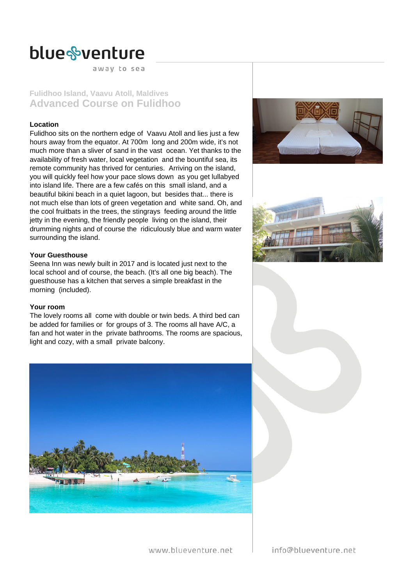away to sea

# **Fulidhoo Island, Vaavu Atoll, Maldives Advanced Course on Fulidhoo**

### **Location**

Fulidhoo sits on the northern edge of Vaavu Atoll and lies just a few hours away from the equator. At 700m long and 200m wide, it's not much more than a sliver of sand in the vast ocean. Yet thanks to the availability of fresh water, local vegetation and the bountiful sea, its remote community has thrived for centuries. Arriving on the island, you will quickly feel how your pace slows down as you get lullabyed into island life. There are a few cafés on this small island, and a beautiful bikini beach in a quiet lagoon, but besides that... there is not much else than lots of green vegetation and white sand. Oh, and the cool fruitbats in the trees, the stingrays feeding around the little jetty in the evening, the friendly people living on the island, their drumming nights and of course the ridiculously blue and warm water surrounding the island.

# **Your Guesthouse**

Seena Inn was newly built in 2017 and is located just next to the local school and of course, the beach. (It's all one big beach). The guesthouse has a kitchen that serves a simple breakfast in the morning (included).

### **Your room**

The lovely rooms all come with double or twin beds. A third bed can be added for families or for groups of 3. The rooms all have A/C, a fan and hot water in the private bathrooms. The rooms are spacious, light and cozy, with a small private balcony.







www.blueventure.net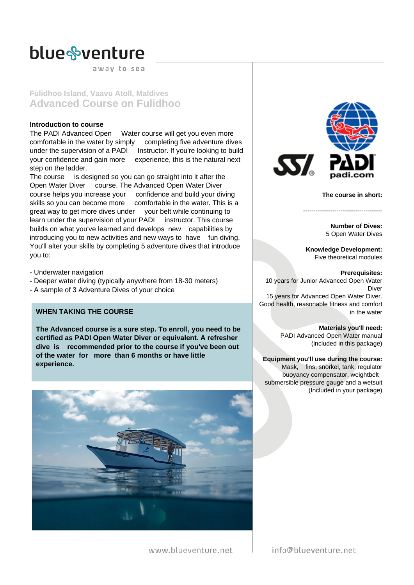away to sea

**Fulidhoo Island, Vaavu Atoll, Maldives Advanced Course on Fulidhoo**

# **Introduction to course**

The PADI Advanced Open Water course will get you even more comfortable in the water by simply completing five adventure dives under the supervision of a PADI Instructor. If you're looking to build your confidence and gain more experience, this is the natural next step on the ladder.

The course is designed so you can go straight into it after the Open Water Diver course. The Advanced Open Water Diver course helps you increase your confidence and build your diving skills so you can become more comfortable in the water. This is a great way to get more dives under your belt while continuing to learn under the supervision of your PADI instructor. This course builds on what you've learned and develops new capabilities by introducing you to new activities and new ways to have fun diving. You'll alter your skills by completing 5 adventure dives that introduce you to:

- Underwater navigation

- Deeper water diving (typically anywhere from 18-30 meters)
- A sample of 3 Adventure Dives of your choice

# **WHEN TAKING THE COURSE**

**The Advanced course is a sure step. To enroll, you need to be certified as PADI Open Water Diver or equivalent. A refresher dive is recommended prior to the course if you've been out of the water for more than 6 months or have little experience.**





**The course in short:**

**Number of Dives:** 5 Open Water Dives

**Knowledge Development:** Five theoretical modules

--------------------------------------

**Prerequisites:** 10 years for Junior Advanced Open Water Diver 15 years for Advanced Open Water Diver.

Good health, reasonable fitness and comfort in the water

> **Materials you'll need:** PADI Advanced Open Water manual (included in this package)

**Equipment you'll use during the course:** Mask, fins, snorkel, tank, regulator buoyancy compensator, weightbelt submersible pressure gauge and a wetsuit (Included in your package)

www.blueventure.net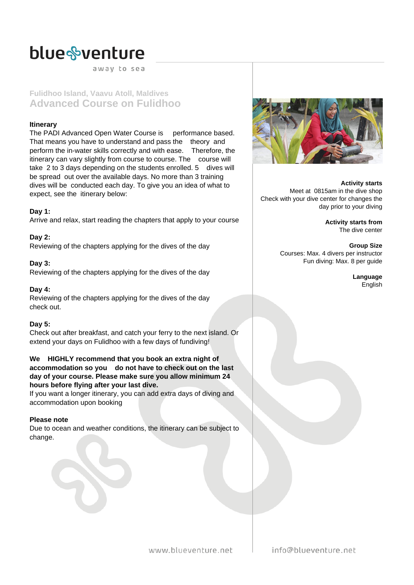away to sea

**Fulidhoo Island, Vaavu Atoll, Maldives Advanced Course on Fulidhoo**

# **Itinerary**

The PADI Advanced Open Water Course is performance based. That means you have to understand and pass the theory and perform the in-water skills correctly and with ease. Therefore, the itinerary can vary slightly from course to course. The course will take 2 to 3 days depending on the students enrolled. 5 dives will be spread out over the available days. No more than 3 training dives will be conducted each day. To give you an idea of what to expect, see the itinerary below:

# **Day 1:**

Arrive and relax, start reading the chapters that apply to your course

# **Day 2:**

Reviewing of the chapters applying for the dives of the day

# **Day 3:**

Reviewing of the chapters applying for the dives of the day

### **Day 4:**

Reviewing of the chapters applying for the dives of the day check out.

# **Day 5:**

Check out after breakfast, and catch your ferry to the next island. Or extend your days on Fulidhoo with a few days of fundiving!

### **We HIGHLY recommend that you book an extra night of accommodation so you do not have to check out on the last day of your course. Please make sure you allow minimum 24 hours before flying after your last dive.**

If you want a longer itinerary, you can add extra days of diving and accommodation upon booking

# **Please note**

Due to ocean and weather conditions, the itinerary can be subject to change.



**Activity starts** Meet at 0815am in the dive shop Check with your dive center for changes the day prior to your diving

> **Activity starts from** The dive center

**Group Size** Courses: Max. 4 divers per instructor Fun diving: Max. 8 per guide

> **Language** English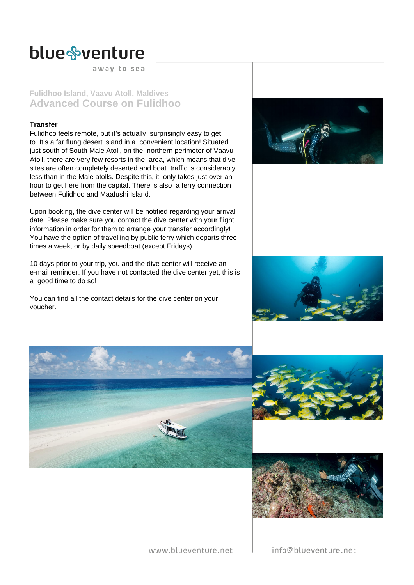away to sea

# **Fulidhoo Island, Vaavu Atoll, Maldives Advanced Course on Fulidhoo**

### **Transfer**

Fulidhoo feels remote, but it's actually surprisingly easy to get to. It's a far flung desert island in a convenient location! Situated just south of South Male Atoll, on the northern perimeter of Vaavu Atoll, there are very few resorts in the area, which means that dive sites are often completely deserted and boat traffic is considerably less than in the Male atolls. Despite this, it only takes just over an hour to get here from the capital. There is also a ferry connection between Fulidhoo and Maafushi Island.

Upon booking, the dive center will be notified regarding your arrival date. Please make sure you contact the dive center with your flight information in order for them to arrange your transfer accordingly! You have the option of travelling by public ferry which departs three times a week, or by daily speedboat (except Fridays).

10 days prior to your trip, you and the dive center will receive an e-mail reminder. If you have not contacted the dive center yet, this is a good time to do so!

You can find all the contact details for the dive center on your voucher.











www.blueventure.net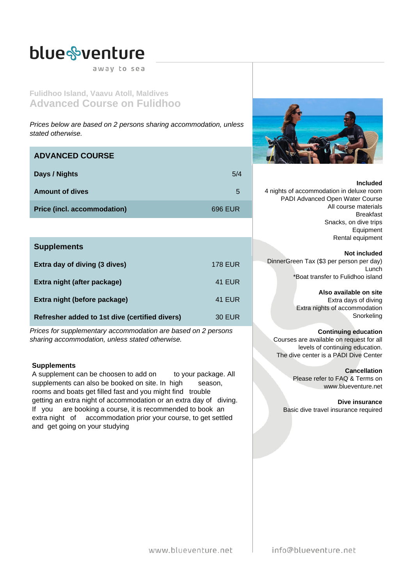away to sea

**Fulidhoo Island, Vaavu Atoll, Maldives Advanced Course on Fulidhoo**

Prices below are based on 2 persons sharing accommodation, unless stated otherwise.

# **ADVANCED COURSE**

| Days / Nights                      | 5/4     |
|------------------------------------|---------|
| <b>Amount of dives</b>             | 5       |
| <b>Price (incl. accommodation)</b> | 696 EUR |

# **Supplements**

| Extra day of diving (3 dives)                  | <b>178 EUR</b> |
|------------------------------------------------|----------------|
| Extra night (after package)                    | <b>41 EUR</b>  |
| Extra night (before package)                   | <b>41 EUR</b>  |
| Refresher added to 1st dive (certified divers) | 30 EUR         |

Prices for supplementary accommodation are based on 2 persons sharing accommodation, unless stated otherwise.

# **Supplements**

A supplement can be choosen to add on to your package. All supplements can also be booked on site. In high season, rooms and boats get filled fast and you might find trouble getting an extra night of accommodation or an extra day of diving. If you are booking a course, it is recommended to book an extra night of accommodation prior your course, to get settled and get going on your studying



#### **Included**

4 nights of accommodation in deluxe room PADI Advanced Open Water Course All course materials Breakfast Snacks, on dive trips Equipment Rental equipment

### **Not included**

DinnerGreen Tax (\$3 per person per day) Lunch \*Boat transfer to Fulidhoo island

**Also available on site**

Extra days of diving Extra nights of accommodation **Snorkeling** 

### **Continuing education**

Courses are available on request for all levels of continuing education. The dive center is a PADI Dive Center

> **Cancellation** Please refer to FAQ & Terms on www.blueventure.net

**Dive insurance** Basic dive travel insurance required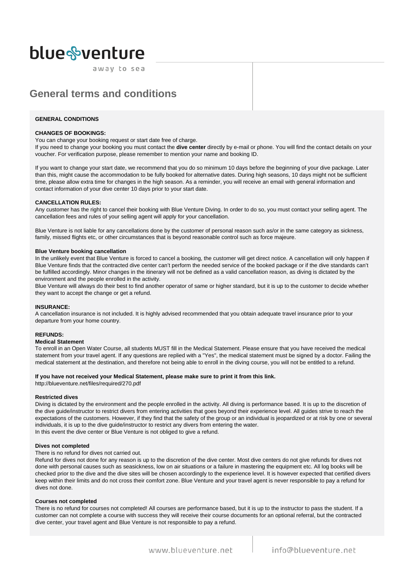away to sea

# **General terms and conditions**

#### **GENERAL CONDITIONS**

#### **CHANGES OF BOOKINGS:**

You can change your booking request or start date free of charge.

If you need to change your booking you must contact the **dive center** directly by e-mail or phone. You will find the contact details on your voucher. For verification purpose, please remember to mention your name and booking ID.

If you want to change your start date, we recommend that you do so minimum 10 days before the beginning of your dive package. Later than this, might cause the accommodation to be fully booked for alternative dates. During high seasons, 10 days might not be sufficient time, please allow extra time for changes in the high season. As a reminder, you will receive an email with general information and contact information of your dive center 10 days prior to your start date.

#### **CANCELLATION RULES:**

Any customer has the right to cancel their booking with Blue Venture Diving. In order to do so, you must contact your selling agent. The cancellation fees and rules of your selling agent will apply for your cancellation.

Blue Venture is not liable for any cancellations done by the customer of personal reason such as/or in the same category as sickness, family, missed flights etc, or other circumstances that is beyond reasonable control such as force majeure.

#### **Blue Venture booking cancellation**

In the unlikely event that Blue Venture is forced to cancel a booking, the customer will get direct notice. A cancellation will only happen if Blue Venture finds that the contracted dive center can't perform the needed service of the booked package or if the dive standards can't be fulfilled accordingly. Minor changes in the itinerary will not be defined as a valid cancellation reason, as diving is dictated by the environment and the people enrolled in the activity.

Blue Venture will always do their best to find another operator of same or higher standard, but it is up to the customer to decide whether they want to accept the change or get a refund.

#### **INSURANCE:**

A cancellation insurance is not included. It is highly advised recommended that you obtain adequate travel insurance prior to your departure from your home country.

#### **REFUNDS:**

#### **Medical Statement**

To enroll in an Open Water Course, all students MUST fill in the Medical Statement. Please ensure that you have received the medical statement from your travel agent. If any questions are replied with a "Yes", the medical statement must be signed by a doctor. Failing the medical statement at the destination, and therefore not being able to enroll in the diving course, you will not be entitled to a refund.

#### **If you have not received your Medical Statement, please make sure to print it from this link.**

http://blueventure.net/files/required/270.pdf

#### **Restricted dives**

Diving is dictated by the environment and the people enrolled in the activity. All diving is performance based. It is up to the discretion of the dive guide/instructor to restrict divers from entering activities that goes beyond their experience level. All guides strive to reach the expectations of the customers. However, if they find that the safety of the group or an individual is jeopardized or at risk by one or several individuals, it is up to the dive guide/instructor to restrict any divers from entering the water. In this event the dive center or Blue Venture is not obliged to give a refund.

#### **Dives not completed**

#### There is no refund for dives not carried out.

Refund for dives not done for any reason is up to the discretion of the dive center. Most dive centers do not give refunds for dives not done with personal causes such as seasickness, low on air situations or a failure in mastering the equipment etc. All log books will be checked prior to the dive and the dive sites will be chosen accordingly to the experience level. It is however expected that certified divers keep within their limits and do not cross their comfort zone. Blue Venture and your travel agent is never responsible to pay a refund for dives not done.

#### **Courses not completed**

There is no refund for courses not completed! All courses are performance based, but it is up to the instructor to pass the student. If a customer can not complete a course with success they will receive their course documents for an optional referral, but the contracted dive center, your travel agent and Blue Venture is not responsible to pay a refund.